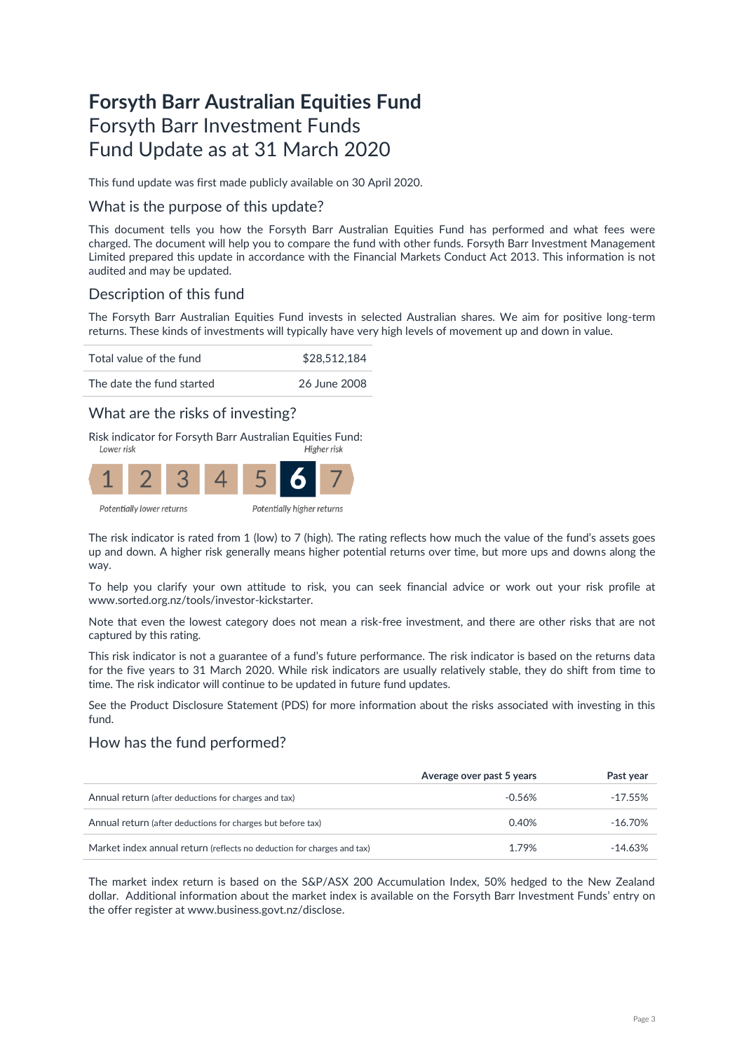# **Forsyth Barr Australian Equities Fund** Forsyth Barr Investment Funds Fund Update as at 31 March 2020

This fund update was first made publicly available on 30 April 2020.

### What is the purpose of this update?

This document tells you how the Forsyth Barr Australian Equities Fund has performed and what fees were charged. The document will help you to compare the fund with other funds. Forsyth Barr Investment Management Limited prepared this update in accordance with the Financial Markets Conduct Act 2013. This information is not audited and may be updated.

# Description of this fund

The Forsyth Barr Australian Equities Fund invests in selected Australian shares. We aim for positive long-term returns. These kinds of investments will typically have very high levels of movement up and down in value.

Total value of the fund \$28,512,184



## What are the risks of investing?

Risk indicator for Forsyth Barr Australian Equities Fund:<br>Figher risk



The risk indicator is rated from 1 (low) to 7 (high). The rating reflects how much the value of the fund's assets goes up and down. A higher risk generally means higher potential returns over time, but more ups and downs along the way.

To help you clarify your own attitude to risk, you can seek financial advice or work out your risk profile at [www.sorted.org.nz/tools/investor-kickstarter.](http://www.sorted.org.nz/tools/investor-kickstarter) 

Note that even the lowest category does not mean a risk-free investment, and there are other risks that are not captured by this rating.

This risk indicator is not a guarantee of a fund's future performance. The risk indicator is based on the returns data for the five years to 31 March 2020. While risk indicators are usually relatively stable, they do shift from time to time. The risk indicator will continue to be updated in future fund updates.

See the Product Disclosure Statement (PDS) for more information about the risks associated with investing in this fund.

## How has the fund performed?

|                                                                        | Average over past 5 years | Past year  |
|------------------------------------------------------------------------|---------------------------|------------|
| Annual return (after deductions for charges and tax)                   | $-0.56%$                  | $-17.55%$  |
| Annual return (after deductions for charges but before tax)            | 0.40%                     | $-16.70\%$ |
| Market index annual return (reflects no deduction for charges and tax) | 1.79%                     | $-14.63%$  |

The market index return is based on the S&P/ASX 200 Accumulation Index, 50% hedged to the New Zealand dollar. Additional information about the market index is available on the Forsyth Barr Investment Funds' entry on the offer register at [www.business.govt.nz/disclose.](http://www.business.govt.nz/disclose)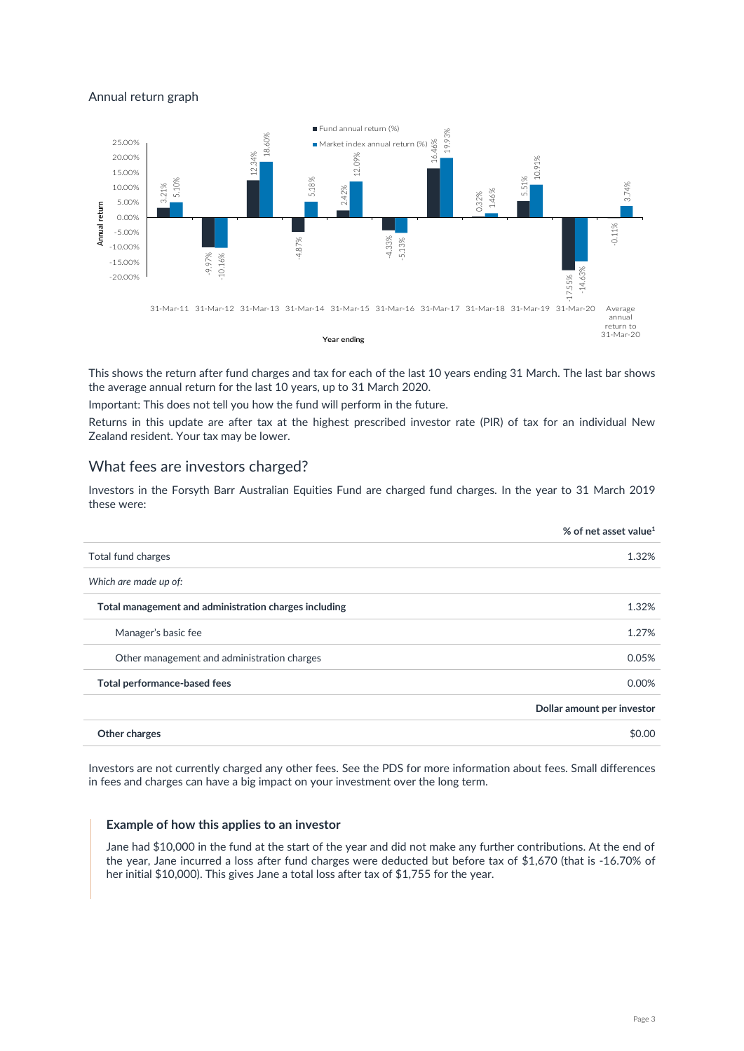#### Annual return graph



This shows the return after fund charges and tax for each of the last 10 years ending 31 March. The last bar shows the average annual return for the last 10 years, up to 31 March 2020.

Important: This does not tell you how the fund will perform in the future.

Returns in this update are after tax at the highest prescribed investor rate (PIR) of tax for an individual New Zealand resident. Your tax may be lower.

### What fees are investors charged?

Investors in the Forsyth Barr Australian Equities Fund are charged fund charges. In the year to 31 March 2019 these were:

|                                                       | % of net asset value <sup>1</sup> |
|-------------------------------------------------------|-----------------------------------|
| Total fund charges                                    | 1.32%                             |
| Which are made up of:                                 |                                   |
| Total management and administration charges including | 1.32%                             |
| Manager's basic fee                                   | 1.27%                             |
| Other management and administration charges           | 0.05%                             |
| Total performance-based fees                          | 0.00%                             |
|                                                       | Dollar amount per investor        |
| Other charges                                         | \$0.00                            |

Investors are not currently charged any other fees. See the PDS for more information about fees. Small differences in fees and charges can have a big impact on your investment over the long term.

#### **Example of how this applies to an investor**

Jane had \$10,000 in the fund at the start of the year and did not make any further contributions. At the end of the year, Jane incurred a loss after fund charges were deducted but before tax of \$1,670 (that is -16.70% of her initial \$10,000). This gives Jane a total loss after tax of \$1,755 for the year.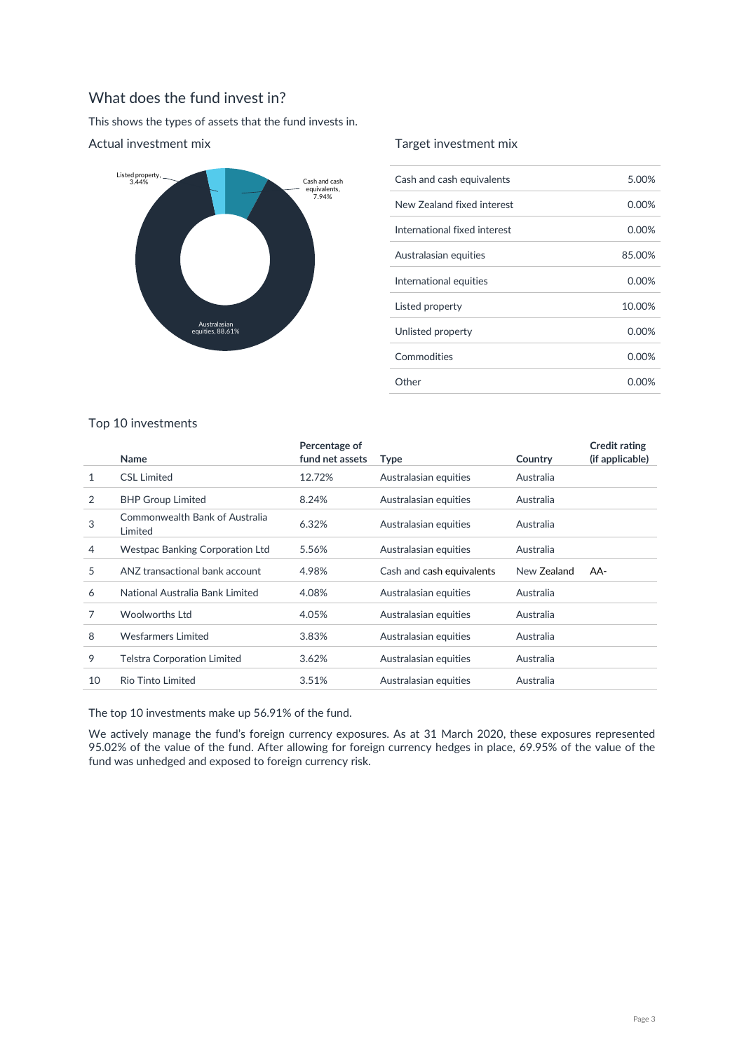# What does the fund invest in?

This shows the types of assets that the fund invests in.



### Actual investment mix

### Target investment mix

| Cash and cash equivalents    | 5.00%  |
|------------------------------|--------|
| New Zealand fixed interest   | 0.00%  |
| International fixed interest | 0.00%  |
| Australasian equities        | 85.00% |
| International equities       | 0.00%  |
| Listed property              | 10.00% |
| Unlisted property            | 0.00%  |
| Commodities                  | 0.00%  |
| Other                        | 0.00%  |

### Top 10 investments

|    | Name                                      | Percentage of<br>fund net assets | Type                      | Country     | <b>Credit rating</b><br>(if applicable) |
|----|-------------------------------------------|----------------------------------|---------------------------|-------------|-----------------------------------------|
| 1  | <b>CSL Limited</b>                        | 12.72%                           | Australasian equities     | Australia   |                                         |
| 2  | <b>BHP Group Limited</b>                  | 8.24%                            | Australasian equities     | Australia   |                                         |
| 3  | Commonwealth Bank of Australia<br>Limited | 6.32%                            | Australasian equities     | Australia   |                                         |
| 4  | <b>Westpac Banking Corporation Ltd</b>    | 5.56%                            | Australasian equities     | Australia   |                                         |
| 5  | ANZ transactional bank account            | 4.98%                            | Cash and cash equivalents | New Zealand | AA-                                     |
| 6  | National Australia Bank Limited           | 4.08%                            | Australasian equities     | Australia   |                                         |
| 7  | <b>Woolworths Ltd</b>                     | 4.05%                            | Australasian equities     | Australia   |                                         |
| 8  | Wesfarmers Limited                        | 3.83%                            | Australasian equities     | Australia   |                                         |
| 9  | <b>Telstra Corporation Limited</b>        | 3.62%                            | Australasian equities     | Australia   |                                         |
| 10 | <b>Rio Tinto Limited</b>                  | 3.51%                            | Australasian equities     | Australia   |                                         |

The top 10 investments make up 56.91% of the fund.

We actively manage the fund's foreign currency exposures. As at 31 March 2020, these exposures represented 95.02% of the value of the fund. After allowing for foreign currency hedges in place, 69.95% of the value of the fund was unhedged and exposed to foreign currency risk.